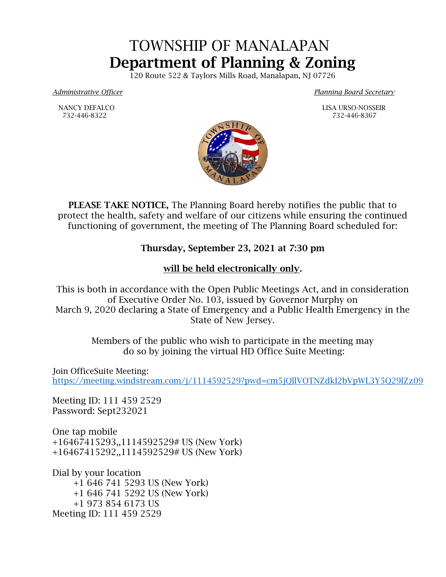## TOWNSHIP OF MANALAPAN Department of Planning & Zoning

120 Route 522 & Taylors Mills Road, Manalapan, NJ 07726

*Administrative Officer Planning Board Secretary*

NANCY DEFALCO LISA URSO-NOSSEIR



PLEASE TAKE NOTICE, The Planning Board hereby notifies the public that to protect the health, safety and welfare of our citizens while ensuring the continued functioning of government, the meeting of The Planning Board scheduled for:

## Thursday, September 23, 2021 at 7:30 pm

## will be held electronically only.

This is both in accordance with the Open Public Meetings Act, and in consideration of Executive Order No. 103, issued by Governor Murphy on March 9, 2020 declaring a State of Emergency and a Public Health Emergency in the State of New Jersey.

> Members of the public who wish to participate in the meeting may do so by joining the virtual HD Office Suite Meeting:

Join OfficeSuite Meeting: <https://meeting.windstream.com/j/1114592529?pwd=cm5jQllVOTNZdkI2bVpWL3Y5Q29lZz09>

Meeting ID: 111 459 2529 Password: Sept232021

One tap mobile +16467415293,,1114592529# US (New York) +16467415292,,1114592529# US (New York)

Dial by your location +1 646 741 5293 US (New York) +1 646 741 5292 US (New York) +1 973 854 6173 US Meeting ID: 111 459 2529